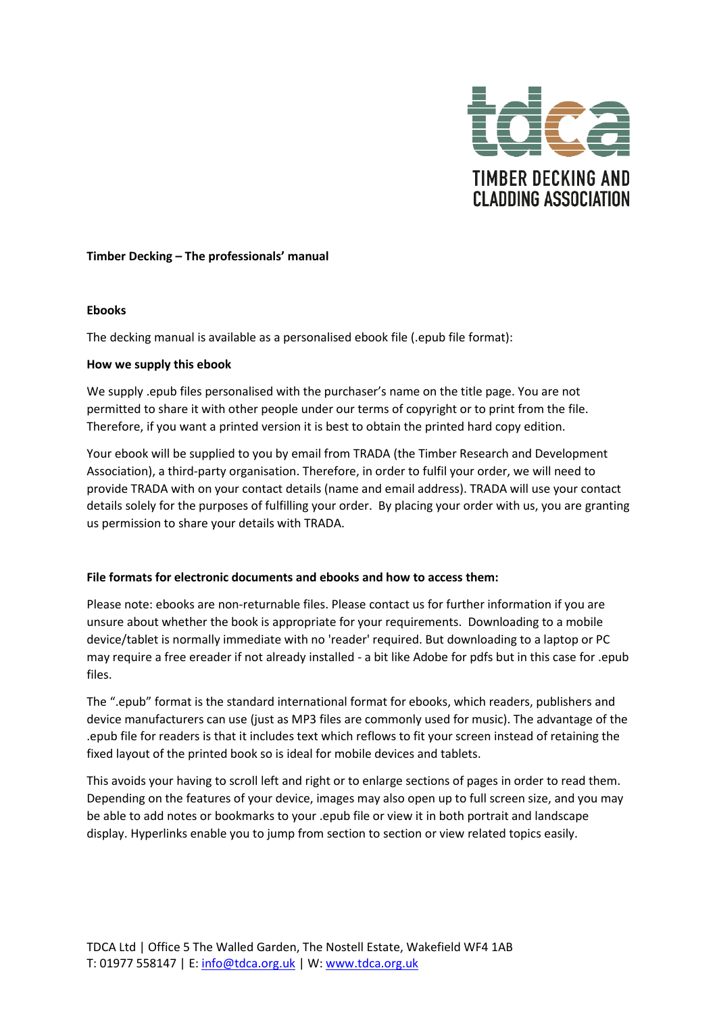

# **Timber Decking – The professionals' manual**

## **Ebooks**

The decking manual is available as a personalised ebook file (.epub file format):

# **How we supply this ebook**

We supply .epub files personalised with the purchaser's name on the title page. You are not permitted to share it with other people under our terms of copyright or to print from the file. Therefore, if you want a printed version it is best to obtain the printed hard copy edition.

Your ebook will be supplied to you by email from TRADA (the Timber Research and Development Association), a third-party organisation. Therefore, in order to fulfil your order, we will need to provide TRADA with on your contact details (name and email address). TRADA will use your contact details solely for the purposes of fulfilling your order. By placing your order with us, you are granting us permission to share your details with TRADA.

## **File formats for electronic documents and ebooks and how to access them:**

Please note: ebooks are non-returnable files. Please contact us for further information if you are unsure about whether the book is appropriate for your requirements. Downloading to a mobile device/tablet is normally immediate with no 'reader' required. But downloading to a laptop or PC may require a free ereader if not already installed - a bit like Adobe for pdfs but in this case for .epub files.

The ".epub" format is the standard international format for ebooks, which readers, publishers and device manufacturers can use (just as MP3 files are commonly used for music). The advantage of the .epub file for readers is that it includes text which reflows to fit your screen instead of retaining the fixed layout of the printed book so is ideal for mobile devices and tablets.

This avoids your having to scroll left and right or to enlarge sections of pages in order to read them. Depending on the features of your device, images may also open up to full screen size, and you may be able to add notes or bookmarks to your .epub file or view it in both portrait and landscape display. Hyperlinks enable you to jump from section to section or view related topics easily.